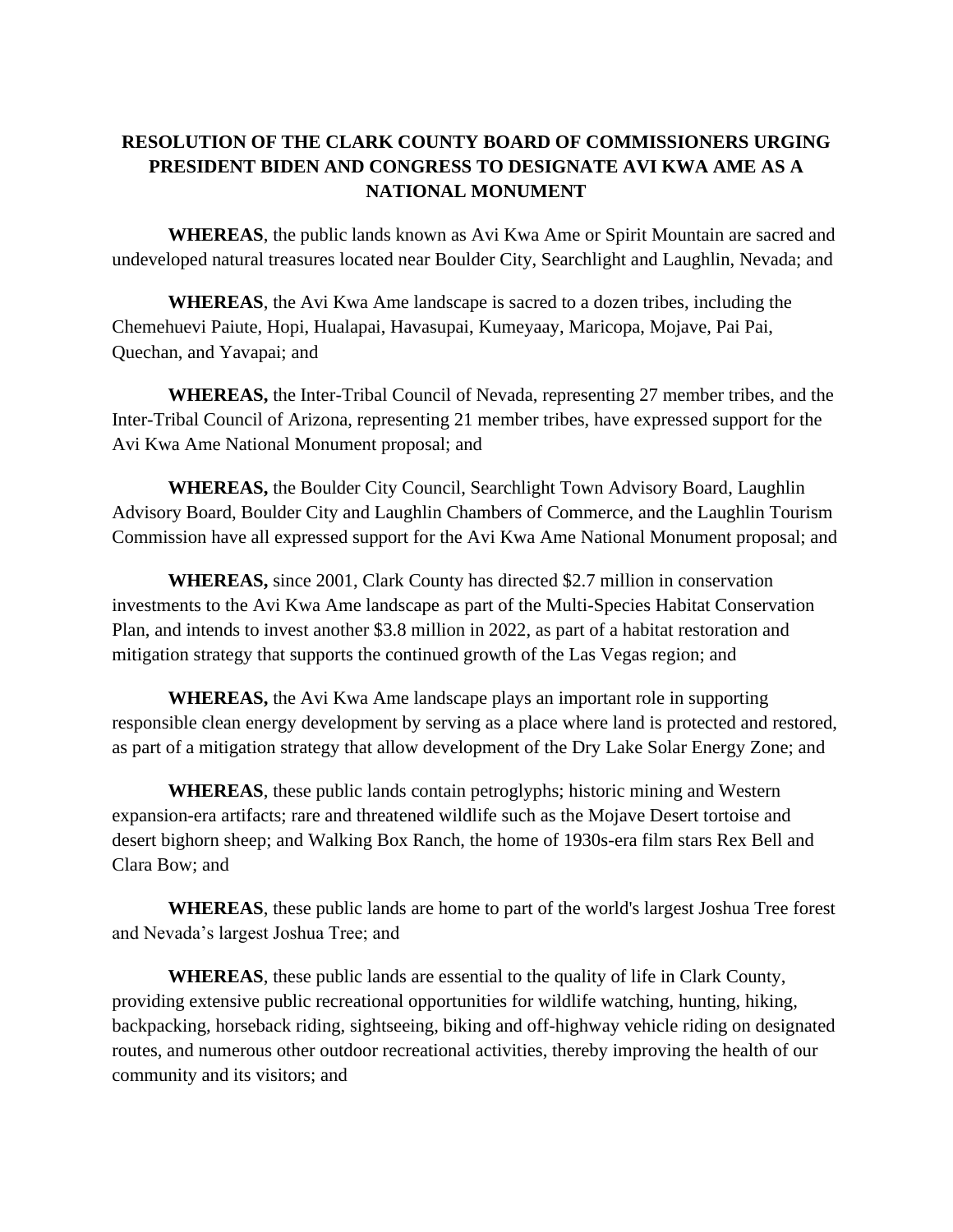## **RESOLUTION OF THE CLARK COUNTY BOARD OF COMMISSIONERS URGING PRESIDENT BIDEN AND CONGRESS TO DESIGNATE AVI KWA AME AS A NATIONAL MONUMENT**

**WHEREAS**, the public lands known as Avi Kwa Ame or Spirit Mountain are sacred and undeveloped natural treasures located near Boulder City, Searchlight and Laughlin, Nevada; and

**WHEREAS**, the Avi Kwa Ame landscape is sacred to a dozen tribes, including the Chemehuevi Paiute, Hopi, Hualapai, Havasupai, Kumeyaay, Maricopa, Mojave, Pai Pai, Quechan, and Yavapai; and

**WHEREAS,** the Inter-Tribal Council of Nevada, representing 27 member tribes, and the Inter-Tribal Council of Arizona, representing 21 member tribes, have expressed support for the Avi Kwa Ame National Monument proposal; and

**WHEREAS,** the Boulder City Council, Searchlight Town Advisory Board, Laughlin Advisory Board, Boulder City and Laughlin Chambers of Commerce, and the Laughlin Tourism Commission have all expressed support for the Avi Kwa Ame National Monument proposal; and

**WHEREAS,** since 2001, Clark County has directed \$2.7 million in conservation investments to the Avi Kwa Ame landscape as part of the Multi-Species Habitat Conservation Plan, and intends to invest another \$3.8 million in 2022, as part of a habitat restoration and mitigation strategy that supports the continued growth of the Las Vegas region; and

**WHEREAS,** the Avi Kwa Ame landscape plays an important role in supporting responsible clean energy development by serving as a place where land is protected and restored, as part of a mitigation strategy that allow development of the Dry Lake Solar Energy Zone; and

**WHEREAS**, these public lands contain petroglyphs; historic mining and Western expansion-era artifacts; rare and threatened wildlife such as the Mojave Desert tortoise and desert bighorn sheep; and Walking Box Ranch, the home of 1930s-era film stars Rex Bell and Clara Bow; and

**WHEREAS**, these public lands are home to part of the world's largest Joshua Tree forest and Nevada's largest Joshua Tree; and

**WHEREAS**, these public lands are essential to the quality of life in Clark County, providing extensive public recreational opportunities for wildlife watching, hunting, hiking, backpacking, horseback riding, sightseeing, biking and off-highway vehicle riding on designated routes, and numerous other outdoor recreational activities, thereby improving the health of our community and its visitors; and